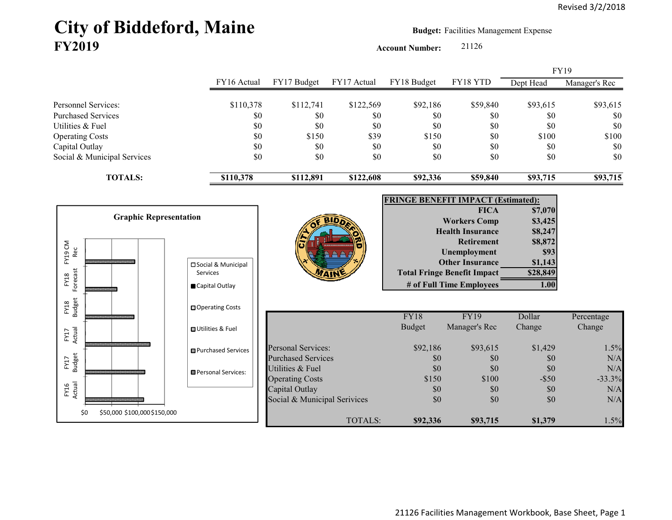# City of Biddeford, Maine **Budget: Facilities Management Expense FY2019**

**Account Number:** 21126

|                                     |                               |                             |                              |             |               |                                                          |                    | FY19          |
|-------------------------------------|-------------------------------|-----------------------------|------------------------------|-------------|---------------|----------------------------------------------------------|--------------------|---------------|
|                                     |                               | FY16 Actual                 | FY17 Budget                  | FY17 Actual | FY18 Budget   | FY18 YTD                                                 | Dept Head          | Manager's Rec |
| Personnel Services:                 |                               | \$110,378                   | \$112,741                    | \$122,569   | \$92,186      | \$59,840                                                 | \$93,615           | \$93,615      |
| <b>Purchased Services</b>           |                               | \$0                         | \$0                          | \$0         | \$0           | \$0                                                      | \$0                | \$0           |
| Utilities & Fuel                    |                               | \$0                         | \$0                          | \$0         | \$0           | \$0                                                      | \$0                | \$0           |
| <b>Operating Costs</b>              |                               | \$0                         | \$150                        | \$39        | \$150         | \$0                                                      | \$100              | \$100         |
| Capital Outlay                      |                               | \$0                         | \$0                          | \$0         | \$0           | \$0                                                      | \$0                | \$0           |
| Social & Municipal Services         |                               | \$0                         | \$0                          | \$0         | \$0           | \$0                                                      | \$0                | \$0           |
| <b>TOTALS:</b>                      |                               | \$110,378                   | \$112,891                    | \$122,608   | \$92,336      | \$59,840                                                 | \$93,715           | \$93,715      |
|                                     |                               |                             |                              |             |               |                                                          |                    |               |
|                                     |                               |                             |                              |             |               | <b>FRINGE BENEFIT IMPACT (Estimated):</b><br><b>FICA</b> |                    |               |
|                                     | <b>Graphic Representation</b> |                             |                              |             |               | <b>Workers Comp</b>                                      | \$7,070<br>\$3,425 |               |
|                                     |                               |                             |                              |             |               | <b>Health Insurance</b>                                  | \$8,247            |               |
|                                     |                               |                             |                              |             |               | <b>Retirement</b>                                        | \$8,872            |               |
| FY19 CM<br>Rec                      |                               |                             |                              |             |               | Unemployment                                             | \$93               |               |
|                                     |                               | □ Social & Municipal        |                              |             |               | <b>Other Insurance</b>                                   | \$1,143            |               |
|                                     | <b>Services</b>               |                             |                              |             |               | <b>Total Fringe Benefit Impact</b>                       | \$28,849           |               |
| Forecast<br>FY18                    |                               | Capital Outlay              |                              |             |               | # of Full Time Employees                                 | 1.00               |               |
|                                     |                               |                             |                              |             |               |                                                          |                    |               |
| <b>Budget</b><br>FY18               |                               | □ Operating Costs           |                              |             | <b>FY18</b>   | <b>FY19</b>                                              | Dollar             | Percentage    |
| FY17<br>Actual                      |                               | □ Utilities & Fuel          |                              |             | <b>Budget</b> | Manager's Rec                                            | Change             | Change        |
|                                     |                               |                             | <b>Personal Services:</b>    |             | \$92,186      | \$93,615                                                 | \$1,429            | 1.5%          |
|                                     |                               | <b>□</b> Purchased Services | <b>Purchased Services</b>    |             | \$0           | \$0                                                      | \$0                | N/A           |
| <b>Budget</b><br>FY17               |                               |                             | Utilities & Fuel             |             | \$0           | \$0                                                      | \$0                | N/A           |
|                                     |                               | Personal Services:          | <b>Operating Costs</b>       |             | \$150         | \$100                                                    | $-$ \$50           | $-33.3%$      |
| FY16<br>Actual                      |                               |                             | Capital Outlay               |             | \$0           | \$0                                                      | \$0                | N/A           |
|                                     |                               |                             | Social & Municipal Serivices |             | \$0           | \$0                                                      | \$0                | N/A           |
| \$0<br>\$50,000 \$100,000 \$150,000 |                               |                             |                              | TOTALS:     | \$92,336      | \$93,715                                                 | \$1,379            | 1.5%          |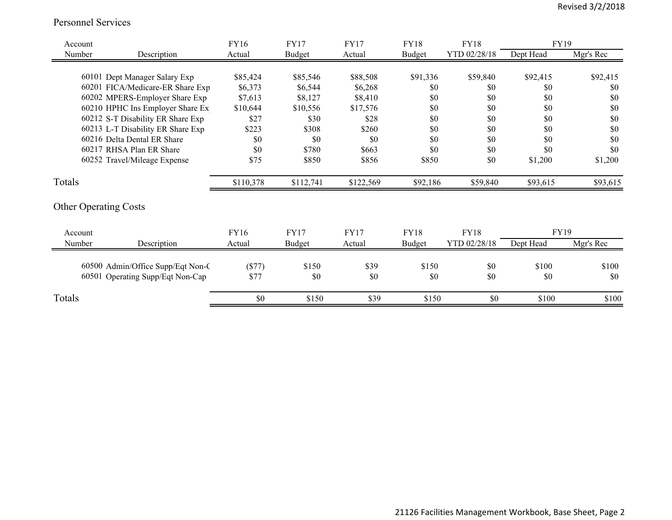#### Personnel Services

| Account |                                   | FY16      | <b>FY17</b> | FY17        | <b>FY18</b> | <b>FY18</b>  | FY19        |           |
|---------|-----------------------------------|-----------|-------------|-------------|-------------|--------------|-------------|-----------|
| Number  | Description                       | Actual    | Budget      | Actual      | Budget      | YTD 02/28/18 | Dept Head   | Mgr's Rec |
|         |                                   |           |             |             |             |              |             |           |
|         | 60101 Dept Manager Salary Exp     | \$85,424  | \$85,546    | \$88,508    | \$91,336    | \$59,840     | \$92,415    | \$92,415  |
|         | 60201 FICA/Medicare-ER Share Exp  | \$6,373   | \$6,544     | \$6,268     | \$0         | \$0          | \$0         | \$0       |
|         | 60202 MPERS-Employer Share Exp    | \$7,613   | \$8,127     | \$8,410     | \$0         | \$0          | \$0         | \$0       |
|         | 60210 HPHC Ins Employer Share Ex  | \$10,644  | \$10,556    | \$17,576    | \$0         | \$0          | \$0         | \$0       |
|         | 60212 S-T Disability ER Share Exp | \$27      | \$30        | \$28        | \$0         | \$0          | \$0         | \$0       |
|         | 60213 L-T Disability ER Share Exp | \$223     | \$308       | \$260       | \$0         | \$0          | \$0         | \$0       |
|         | 60216 Delta Dental ER Share       | \$0       | \$0         | \$0         | \$0         | \$0          | \$0         | \$0       |
|         | 60217 RHSA Plan ER Share          | \$0       | \$780       | \$663       | \$0         | \$0          | \$0         | \$0       |
|         | 60252 Travel/Mileage Expense      | \$75      | \$850       | \$856       | \$850       | \$0          | \$1,200     | \$1,200   |
| Totals  |                                   | \$110,378 | \$112,741   | \$122,569   | \$92,186    | \$59,840     | \$93,615    | \$93,615  |
|         | <b>Other Operating Costs</b>      |           |             |             |             |              |             |           |
| Account |                                   | FY16      | <b>FY17</b> | <b>FY17</b> | <b>FY18</b> | <b>FY18</b>  | <b>FY19</b> |           |
| Number  | Description                       | Actual    | Budget      | Actual      | Budget      | YTD 02/28/18 | Dept Head   | Mgr's Rec |
|         |                                   |           |             |             |             |              |             |           |
|         | 60500 Admin/Office Supp/Eqt Non-C | (\$77)    | \$150       | \$39        | \$150       | \$0          | \$100       | \$100     |
|         | 60501 Operating Supp/Eqt Non-Cap  | \$77      | \$0         | \$0         | \$0         | \$0          | \$0         | \$0       |
| Totals  |                                   | \$0       | \$150       | \$39        | \$150       | \$0          | \$100       | \$100     |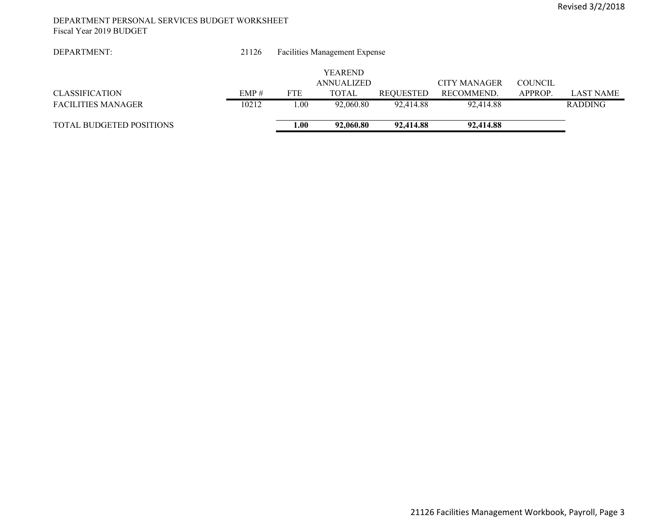#### DEPARTMENT PERSONAL SERVICES BUDGET WORKSHEET Fiscal Year 2019 BUDGET

| DEPARTMENT:                     | 21126 |            | <b>Facilities Management Expense</b> |                  |                     |                |                  |
|---------------------------------|-------|------------|--------------------------------------|------------------|---------------------|----------------|------------------|
|                                 |       |            |                                      |                  |                     |                |                  |
|                                 |       |            | <b>YEAREND</b>                       |                  |                     |                |                  |
|                                 |       |            | <b>ANNUALIZED</b>                    |                  | <b>CITY MANAGER</b> | <b>COUNCIL</b> |                  |
| <b>CLASSIFICATION</b>           | EMP#  | <b>FTE</b> | TOTAL                                | <b>REQUESTED</b> | RECOMMEND.          | APPROP.        | <b>LAST NAME</b> |
| <b>FACILITIES MANAGER</b>       | 10212 | .00        | 92,060.80                            | 92.414.88        | 92,414.88           |                | <b>RADDING</b>   |
|                                 |       |            |                                      |                  |                     |                |                  |
| <b>TOTAL BUDGETED POSITIONS</b> |       | 1.00       | 92,060.80                            | 92,414.88        | 92,414.88           |                |                  |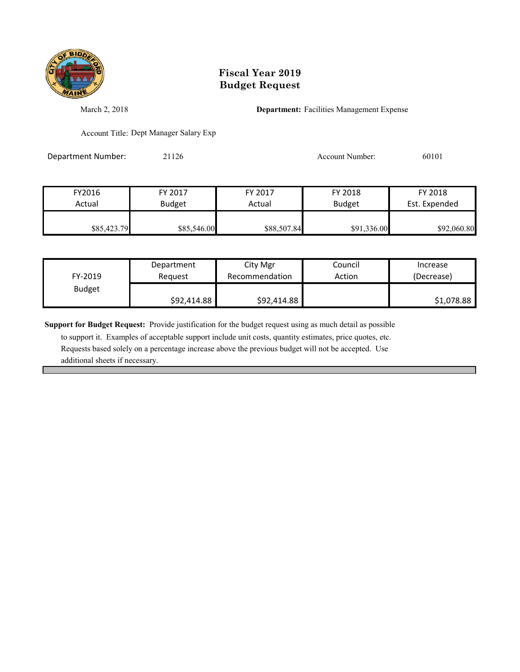

## **Fiscal Year 2019 Budget Request**

March 2, 2018 **Department:** Facilities Management Expense

Account Title: Dept Manager Salary Exp

Department Number: 21126 21126 Account Number: 60101

| FY2016      | FY 2017       | FY 2017     | FY 2018       | FY 2018       |
|-------------|---------------|-------------|---------------|---------------|
| Actual      | <b>Budget</b> | Actual      | <b>Budget</b> | Est. Expended |
|             |               |             |               |               |
| \$85,423.79 | \$85,546.00   | \$88,507.84 | \$91,336.00   | \$92,060.80   |

| FY-2019       | Department  | City Mgr       | Council | Increase   |
|---------------|-------------|----------------|---------|------------|
|               | Reauest     | Recommendation | Action  | (Decrease) |
| <b>Budget</b> | \$92,414.88 | \$92,414.88    |         | \$1,078.88 |

**Support for Budget Request:** Provide justification for the budget request using as much detail as possible

 to support it. Examples of acceptable support include unit costs, quantity estimates, price quotes, etc. Requests based solely on a percentage increase above the previous budget will not be accepted. Use additional sheets if necessary.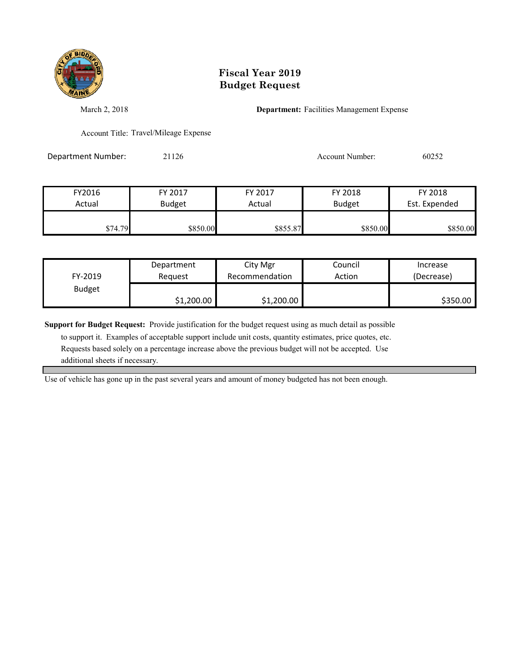

### **Fiscal Year 2019 Budget Request**

March 2, 2018 **Department:** Facilities Management Expense

Account Title: Travel/Mileage Expense

Department Number: 21126 21126 Account Number: 60252

| FY2016  | FY 2017       | FY 2017  | FY 2018       | FY 2018       |
|---------|---------------|----------|---------------|---------------|
| Actual  | <b>Budget</b> | Actual   | <b>Budget</b> | Est. Expended |
|         |               |          |               |               |
| \$74.79 | \$850.00      | \$855.87 | \$850.00      | \$850.00      |

|               | Department | City Mgr       | Council | Increase   |
|---------------|------------|----------------|---------|------------|
| FY-2019       | Reauest    | Recommendation | Action  | (Decrease) |
| <b>Budget</b> |            |                |         |            |
|               | \$1,200.00 | \$1,200.00     |         | \$350.00   |

**Support for Budget Request:** Provide justification for the budget request using as much detail as possible

 to support it. Examples of acceptable support include unit costs, quantity estimates, price quotes, etc. Requests based solely on a percentage increase above the previous budget will not be accepted. Use additional sheets if necessary.

Use of vehicle has gone up in the past several years and amount of money budgeted has not been enough.